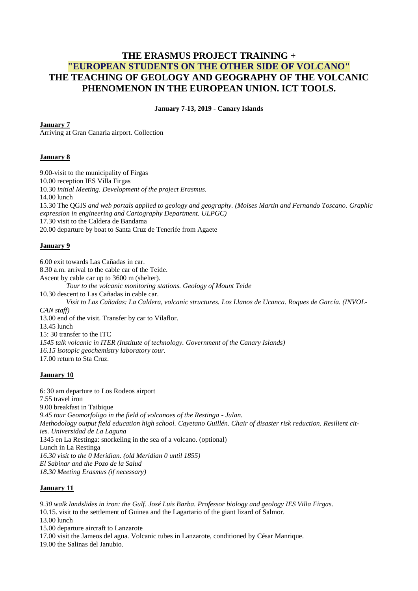# **THE ERASMUS PROJECT TRAINING + "EUROPEAN STUDENTS ON THE OTHER SIDE OF VOLCANO" THE TEACHING OF GEOLOGY AND GEOGRAPHY OF THE VOLCANIC PHENOMENON IN THE EUROPEAN UNION. ICT TOOLS.**

**January 7-13, 2019 - Canary Islands**

**January 7**

Arriving at Gran Canaria airport. Collection

#### **January 8**

9.00-visit to the municipality of Firgas 10.00 reception IES Villa Firgas 10.30 *initial Meeting. Development of the project Erasmus.* 14.00 lunch 15.30 The QGIS *and web portals applied to geology and geography. (Moises Martin and Fernando Toscano. Graphic expression in engineering and Cartography Department. ULPGC)* 17.30 visit to the Caldera de Bandama 20.00 departure by boat to Santa Cruz de Tenerife from Agaete

## **January 9**

6.00 exit towards Las Cañadas in car. 8.30 a.m. arrival to the cable car of the Teide. Ascent by cable car up to 3600 m (shelter). *Tour to the volcanic monitoring stations. Geology of Mount Teide* 10.30 descent to Las Cañadas in cable car. *Visit to Las Cañadas: La Caldera, volcanic structures. Los Llanos de Ucanca. Roques de García. (INVOL-CAN staff)* 13.00 end of the visit. Transfer by car to Vilaflor. 13.45 lunch 15: 30 transfer to the ITC *1545 talk volcanic in ITER (Institute of technology. Government of the Canary Islands) 16.15 isotopic geochemistry laboratory tour.* 17.00 return to Sta Cruz*.*

#### **January 10**

6: 30 am departure to Los Rodeos airport 7.55 travel iron 9.00 breakfast in Taibique *9.45 tour Geomorfoligo in the field of volcanoes of the Restinga - Julan. Methodology output field education high school. Cayetano Guillén. Chair of disaster risk reduction. Resilient cities. Universidad de La Laguna* 1345 en La Restinga: snorkeling in the sea of a volcano. (optional) Lunch in La Restinga *16.30 visit to the 0 Meridian. (old Meridian 0 until 1855) El Sabinar and the Pozo de la Salud 18.30 Meeting Erasmus (if necessary)*

## **January 11**

*9.30 walk landslides in iron: the Gulf. José Luis Barba. Professor biology and geology IES Villa Firgas*. 10.15. visit to the settlement of Guinea and the Lagartario of the giant lizard of Salmor. 13.00 lunch 15.00 departure aircraft to Lanzarote 17.00 visit the Jameos del agua. Volcanic tubes in Lanzarote, conditioned by César Manrique. 19.00 the Salinas del Janubio.